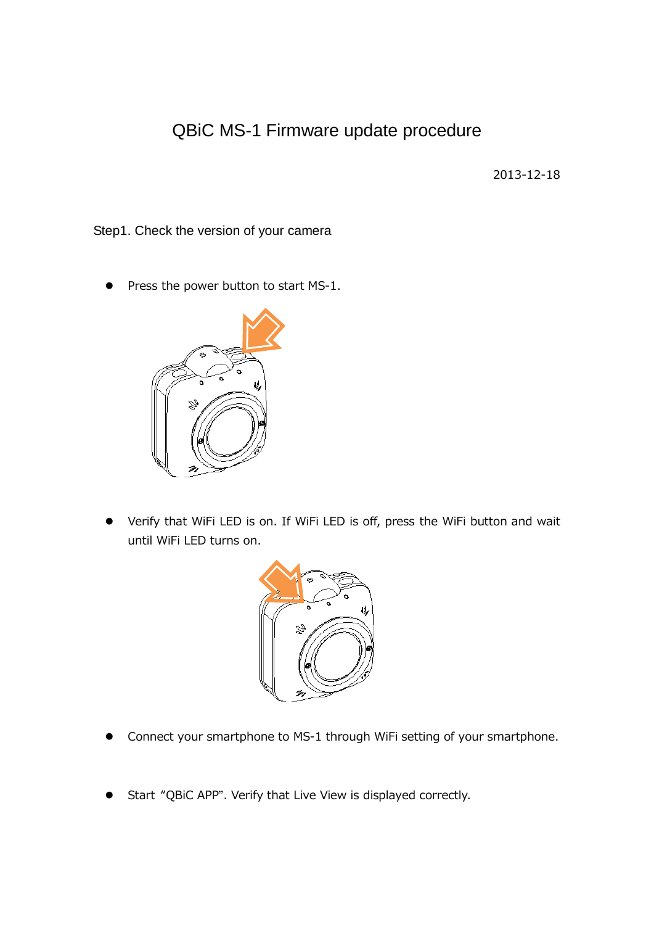## QBiC MS-1 Firmware update procedure

2013-12-18

Step1. Check the version of your camera

Press the power button to start MS-1.



 Verify that WiFi LED is on. If WiFi LED is off, press the WiFi button and wait until WiFi LED turns on.



- Connect your smartphone to MS-1 through WiFi setting of your smartphone.
- Start "QBiC APP". Verify that Live View is displayed correctly.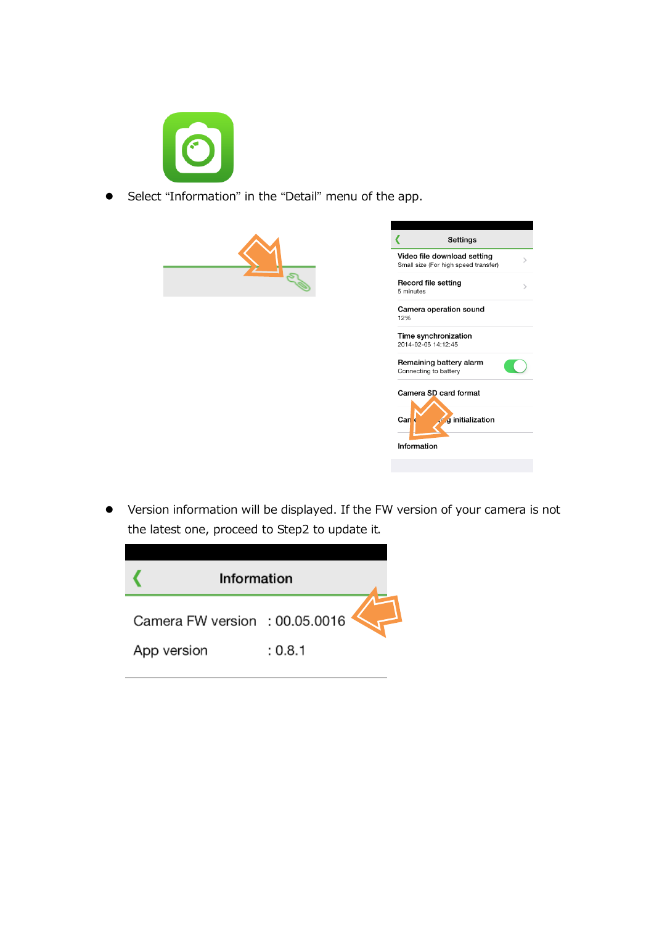

Select "Information" in the "Detail" menu of the app.



 Version information will be displayed. If the FW version of your camera is not the latest one, proceed to Step2 to update it.

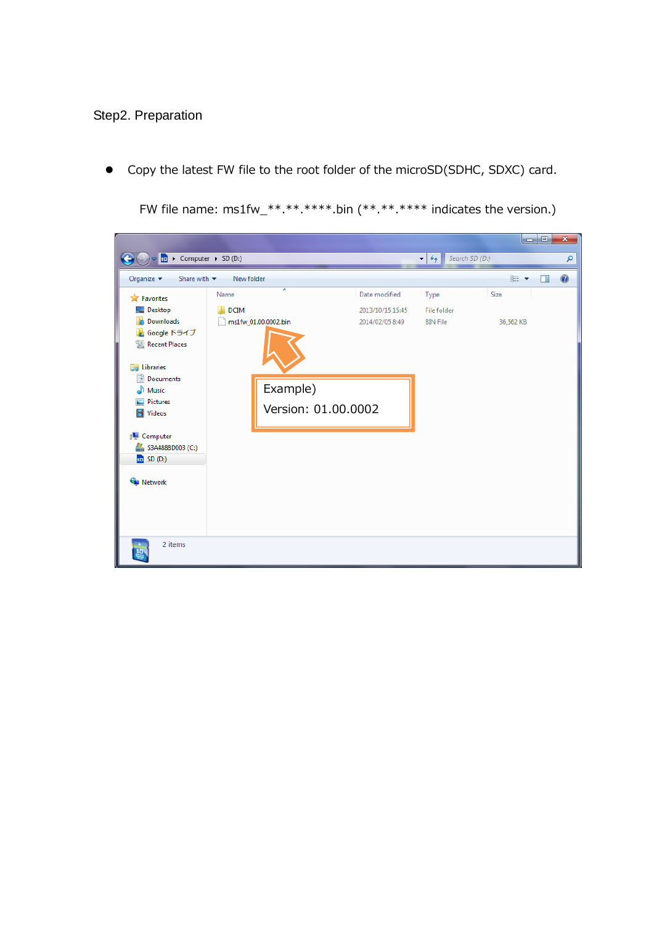Step2. Preparation

Copy the latest FW file to the root folder of the microSD(SDHC, SDXC) card.  $\bullet$ 

FW file name:  $ms1fw_{*******}$  bin (\*\* \*\* \*\*\*\*\* indicates the version.)